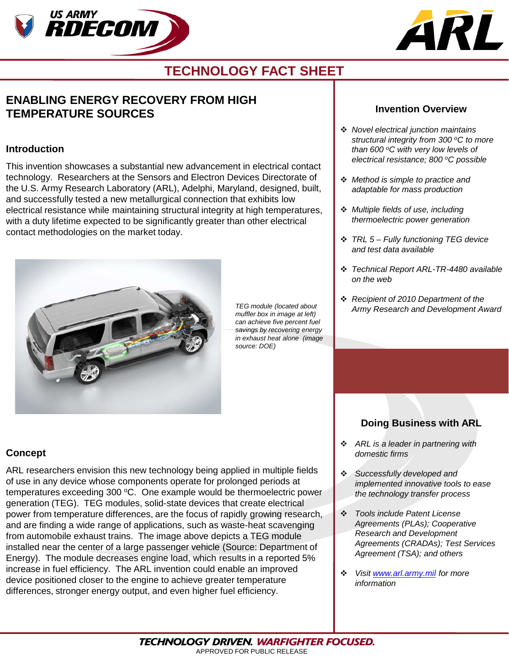



## **TECHNOLOGY FACT SHEET**

## **ENABLING ENERGY RECOVERY FROM HIGH TEMPERATURE SOURCES**

#### **Introduction**

This invention showcases a substantial new advancement in electrical contact technology. Researchers at the Sensors and Electron Devices Directorate of the U.S. Army Research Laboratory (ARL), Adelphi, Maryland, designed, built, and successfully tested a new metallurgical connection that exhibits low electrical resistance while maintaining structural integrity at high temperatures, with a duty lifetime expected to be significantly greater than other electrical contact methodologies on the market today.



*TEG module (located about muffler box in image at left) can achieve five percent fuel savings by recovering energy in exhaust heat alone (image source: DOE)*

### **Invention Overview**

- *Novel electrical junction maintains structural integrity from 300 oC to more than 600 oC with very low levels of electrical resistance; 800 oC possible*
- *Method is simple to practice and adaptable for mass production*
- *Multiple fields of use, including thermoelectric power generation*
- *TRL 5 – Fully functioning TEG device and test data available*
- *Technical Report ARL-TR-4480 available on the web*
- *Recipient of 2010 Department of the Army Research and Development Award*

### **Concept**

ARL researchers envision this new technology being applied in multiple fields of use in any device whose components operate for prolonged periods at temperatures exceeding 300 °C. One example would be thermoelectric power generation (TEG). TEG modules, solid-state devices that create electrical power from temperature differences, are the focus of rapidly growing research, and are finding a wide range of applications, such as waste-heat scavenging from automobile exhaust trains. The image above depicts a TEG module installed near the center of a large passenger vehicle (Source: Department of Energy). The module decreases engine load, which results in a reported 5% increase in fuel efficiency. The ARL invention could enable an improved device positioned closer to the engine to achieve greater temperature differences, stronger energy output, and even higher fuel efficiency.

### **Doing Business with ARL**

- *ARL is a leader in partnering with domestic firms*
- *Successfully developed and implemented innovative tools to ease the technology transfer process*
- *Tools include Patent License Agreements (PLAs); Cooperative Research and Development Agreements (CRADAs); Test Services Agreement (TSA); and others*
- *Visit [www.arl.army.mil](http://www.arl.army.mil/) for more information*